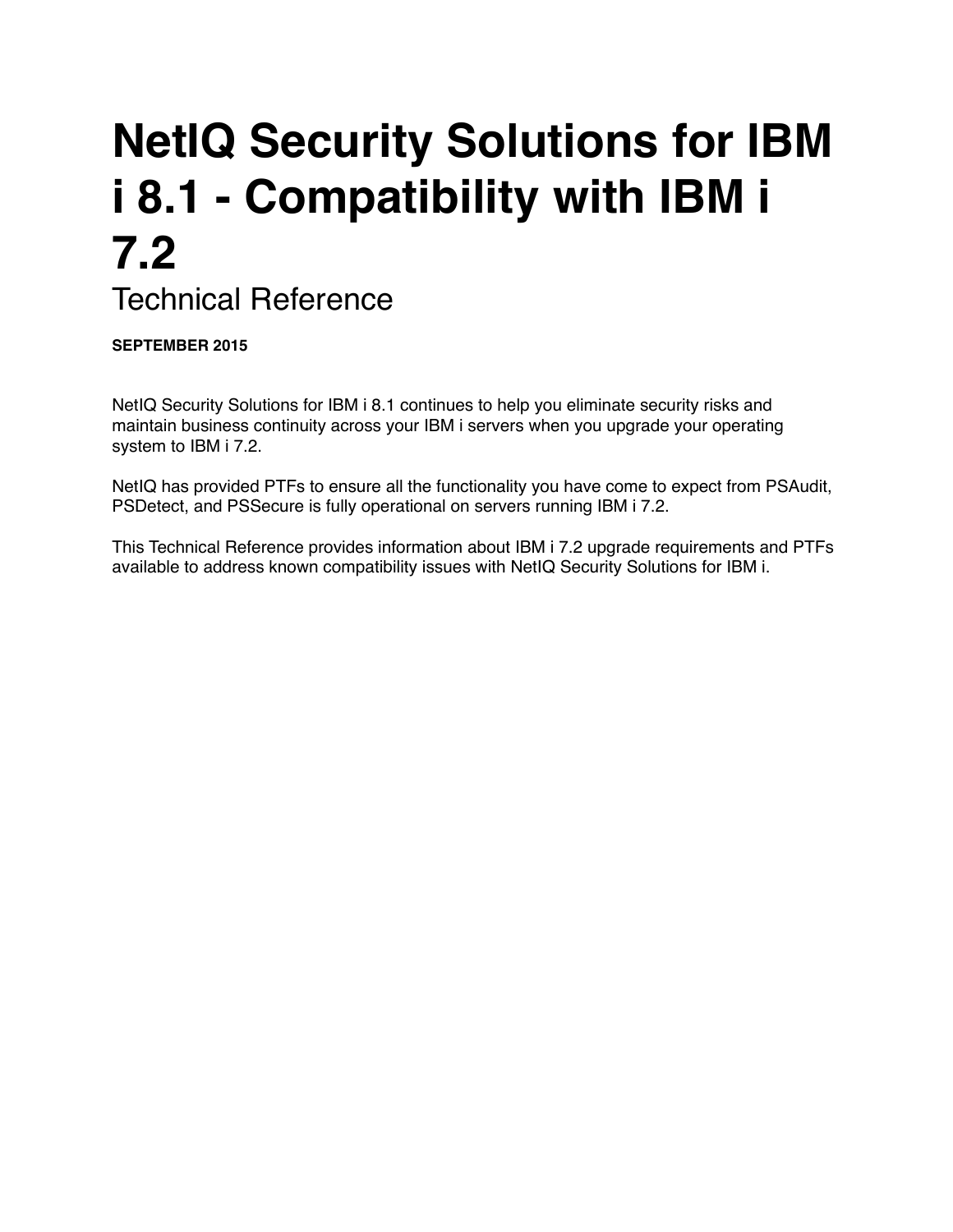# **NetIQ Security Solutions for IBM i 8.1 - Compatibility with IBM i 7.2**

Technical Reference

**SEPTEMBER 2015**

NetIQ Security Solutions for IBM i 8.1 continues to help you eliminate security risks and maintain business continuity across your IBM i servers when you upgrade your operating system to IBM i 7.2.

NetIQ has provided PTFs to ensure all the functionality you have come to expect from PSAudit, PSDetect, and PSSecure is fully operational on servers running IBM i 7.2.

This Technical Reference provides information about IBM i 7.2 upgrade requirements and PTFs available to address known compatibility issues with NetIQ Security Solutions for IBM i.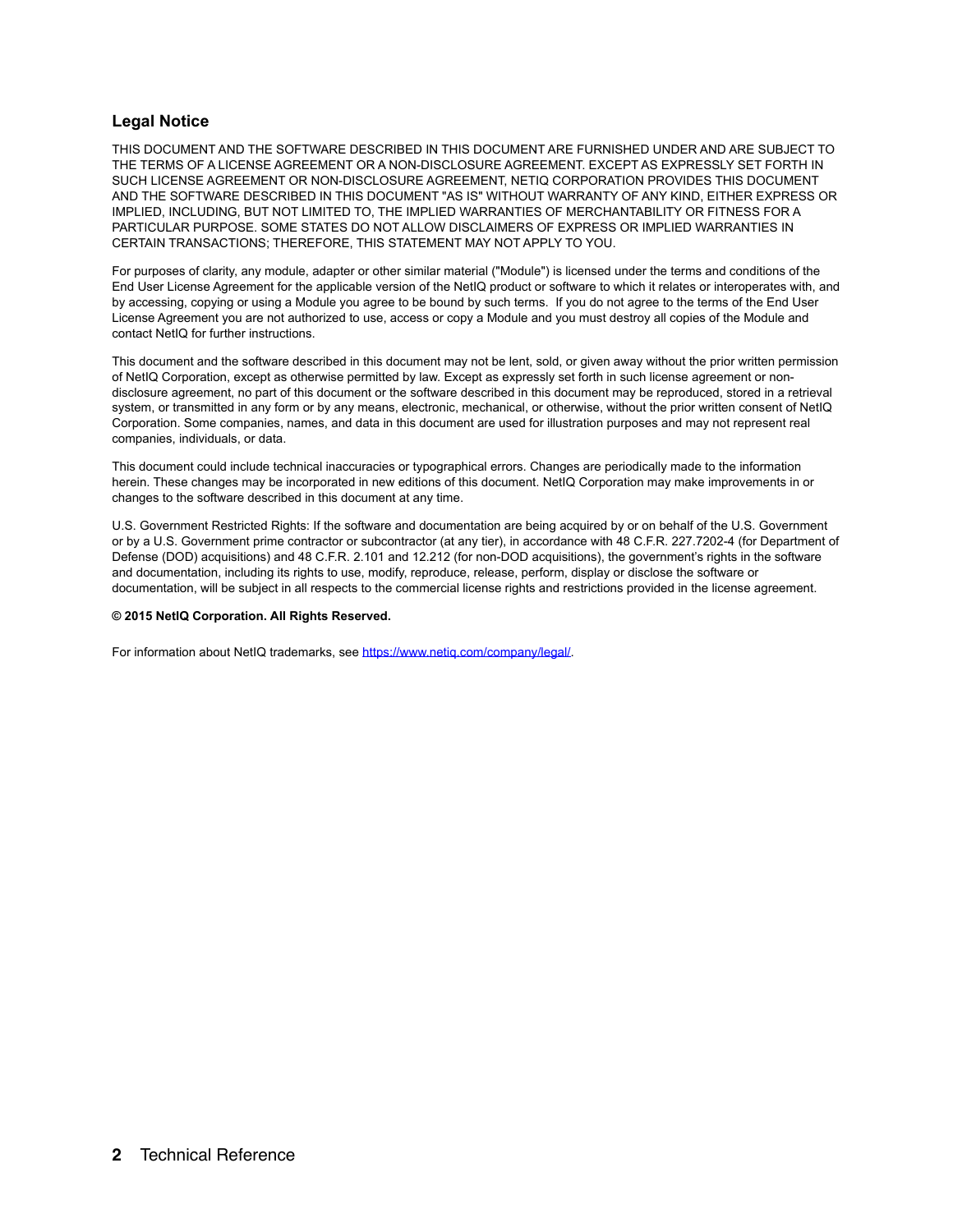#### **Legal Notice**

THIS DOCUMENT AND THE SOFTWARE DESCRIBED IN THIS DOCUMENT ARE FURNISHED UNDER AND ARE SUBJECT TO THE TERMS OF A LICENSE AGREEMENT OR A NON-DISCLOSURE AGREEMENT. EXCEPT AS EXPRESSLY SET FORTH IN SUCH LICENSE AGREEMENT OR NON-DISCLOSURE AGREEMENT, NETIQ CORPORATION PROVIDES THIS DOCUMENT AND THE SOFTWARE DESCRIBED IN THIS DOCUMENT "AS IS" WITHOUT WARRANTY OF ANY KIND, EITHER EXPRESS OR IMPLIED, INCLUDING, BUT NOT LIMITED TO, THE IMPLIED WARRANTIES OF MERCHANTABILITY OR FITNESS FOR A PARTICULAR PURPOSE. SOME STATES DO NOT ALLOW DISCLAIMERS OF EXPRESS OR IMPLIED WARRANTIES IN CERTAIN TRANSACTIONS; THEREFORE, THIS STATEMENT MAY NOT APPLY TO YOU.

For purposes of clarity, any module, adapter or other similar material ("Module") is licensed under the terms and conditions of the End User License Agreement for the applicable version of the NetIQ product or software to which it relates or interoperates with, and by accessing, copying or using a Module you agree to be bound by such terms. If you do not agree to the terms of the End User License Agreement you are not authorized to use, access or copy a Module and you must destroy all copies of the Module and contact NetIQ for further instructions.

This document and the software described in this document may not be lent, sold, or given away without the prior written permission of NetIQ Corporation, except as otherwise permitted by law. Except as expressly set forth in such license agreement or nondisclosure agreement, no part of this document or the software described in this document may be reproduced, stored in a retrieval system, or transmitted in any form or by any means, electronic, mechanical, or otherwise, without the prior written consent of NetIQ Corporation. Some companies, names, and data in this document are used for illustration purposes and may not represent real companies, individuals, or data.

This document could include technical inaccuracies or typographical errors. Changes are periodically made to the information herein. These changes may be incorporated in new editions of this document. NetIQ Corporation may make improvements in or changes to the software described in this document at any time.

U.S. Government Restricted Rights: If the software and documentation are being acquired by or on behalf of the U.S. Government or by a U.S. Government prime contractor or subcontractor (at any tier), in accordance with 48 C.F.R. 227.7202-4 (for Department of Defense (DOD) acquisitions) and 48 C.F.R. 2.101 and 12.212 (for non-DOD acquisitions), the government's rights in the software and documentation, including its rights to use, modify, reproduce, release, perform, display or disclose the software or documentation, will be subject in all respects to the commercial license rights and restrictions provided in the license agreement.

#### **© 2015 NetIQ Corporation. All Rights Reserved.**

For information about NetIQ trademarks, see [https://www.netiq.com/company/legal/.](https://www.netiq.com/company/legal/)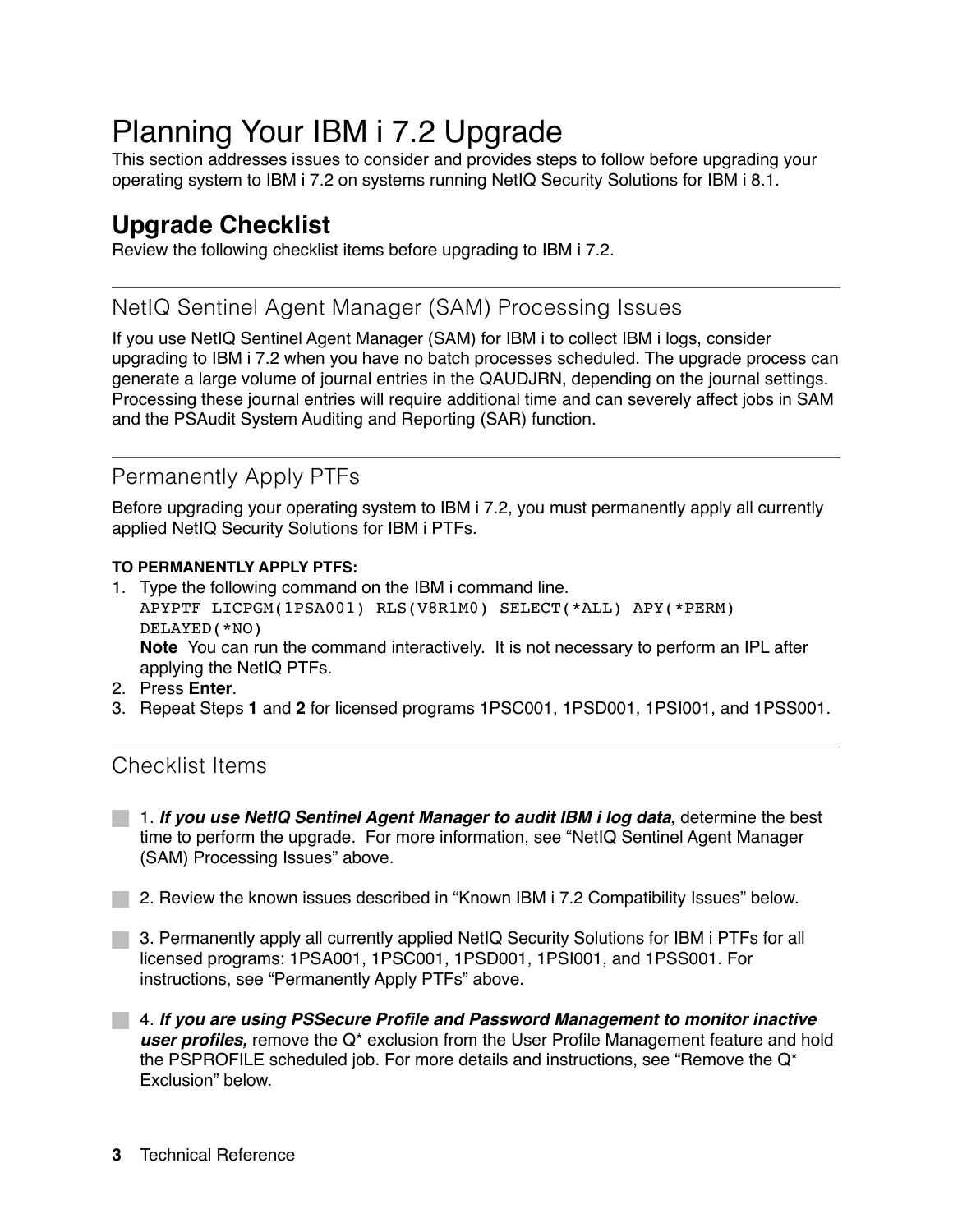# Planning Your IBM i 7.2 Upgrade

This section addresses issues to consider and provides steps to follow before upgrading your operating system to IBM i 7.2 on systems running NetIQ Security Solutions for IBM i 8.1.

# **Upgrade Checklist**

Review the following checklist items before upgrading to IBM i 7.2.

#### NetIQ Sentinel Agent Manager (SAM) Processing Issues

If you use NetIQ Sentinel Agent Manager (SAM) for IBM i to collect IBM i logs, consider upgrading to IBM i 7.2 when you have no batch processes scheduled. The upgrade process can generate a large volume of journal entries in the QAUDJRN, depending on the journal settings. Processing these journal entries will require additional time and can severely affect jobs in SAM and the PSAudit System Auditing and Reporting (SAR) function.

# Permanently Apply PTFs

Before upgrading your operating system to IBM i 7.2, you must permanently apply all currently applied NetIQ Security Solutions for IBM i PTFs.

#### **TO PERMANENTLY APPLY PTFS:**

- 1. Type the following command on the IBM i command line. APYPTF LICPGM(1PSA001) RLS(V8R1M0) SELECT(\*ALL) APY(\*PERM) DELAYED(\*NO) **Note** You can run the command interactively. It is not necessary to perform an IPL after applying the NetIQ PTFs.
- 2. Press **Enter**.
- 3. Repeat Steps **1** and **2** for licensed programs 1PSC001, 1PSD001, 1PSI001, and 1PSS001.

#### Checklist Items

- 1. *If you use NetIQ Sentinel Agent Manager to audit IBM i log data,* determine the best time to perform the upgrade. For more information, see "NetIQ Sentinel Agent Manager (SAM) Processing Issues" above.
- **2. Review the known issues described in "Known IBM i 7.2 Compatibility Issues" below.**
- 3. Permanently apply all currently applied NetIQ Security Solutions for IBM i PTFs for all licensed programs: 1PSA001, 1PSC001, 1PSD001, 1PSI001, and 1PSS001. For instructions, see "Permanently Apply PTFs" above.
- 4. *If you are using PSSecure Profile and Password Management to monitor inactive user profiles,* remove the Q\* exclusion from the User Profile Management feature and hold the PSPROFILE scheduled job. For more details and instructions, see "Remove the  $Q^*$ Exclusion" below.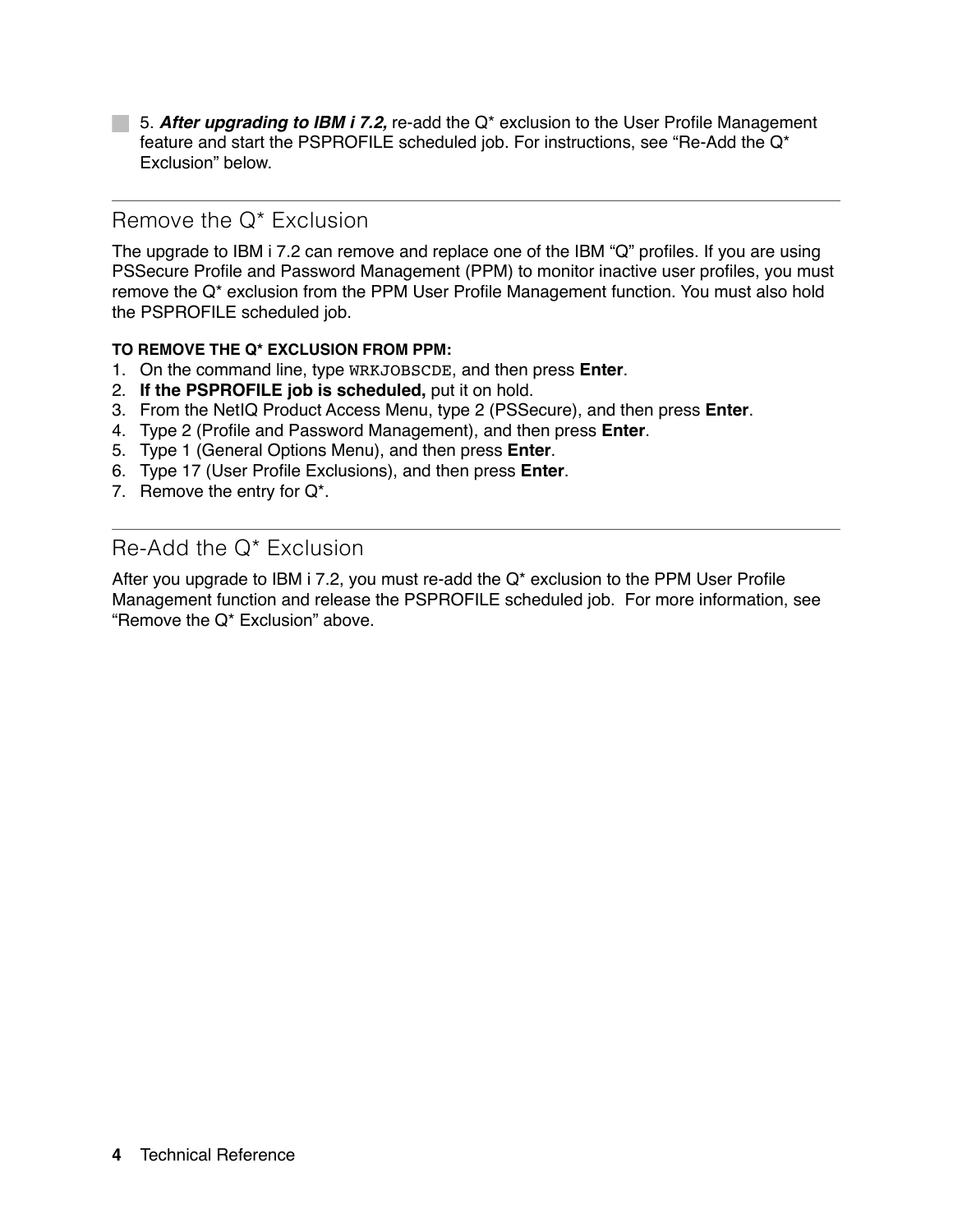5. *After upgrading to IBM i 7.2,* re-add the Q\* exclusion to the User Profile Management feature and start the PSPROFILE scheduled job. For instructions, see "Re-Add the Q\* Exclusion" below.

#### Remove the Q\* Exclusion

The upgrade to IBM i 7.2 can remove and replace one of the IBM "Q" profiles. If you are using PSSecure Profile and Password Management (PPM) to monitor inactive user profiles, you must remove the Q\* exclusion from the PPM User Profile Management function. You must also hold the PSPROFILE scheduled job.

#### **TO REMOVE THE Q\* EXCLUSION FROM PPM:**

- 1. On the command line, type WRKJOBSCDE, and then press **Enter**.
- 2. **If the PSPROFILE job is scheduled,** put it on hold.
- 3. From the NetIQ Product Access Menu, type 2 (PSSecure), and then press **Enter**.
- 4. Type 2 (Profile and Password Management), and then press **Enter**.
- 5. Type 1 (General Options Menu), and then press **Enter**.
- 6. Type 17 (User Profile Exclusions), and then press **Enter**.
- 7. Remove the entry for Q\*.

#### Re-Add the Q\* Exclusion

After you upgrade to IBM i 7.2, you must re-add the  $Q^*$  exclusion to the PPM User Profile Management function and release the PSPROFILE scheduled job. For more information, see "Remove the Q\* Exclusion" above.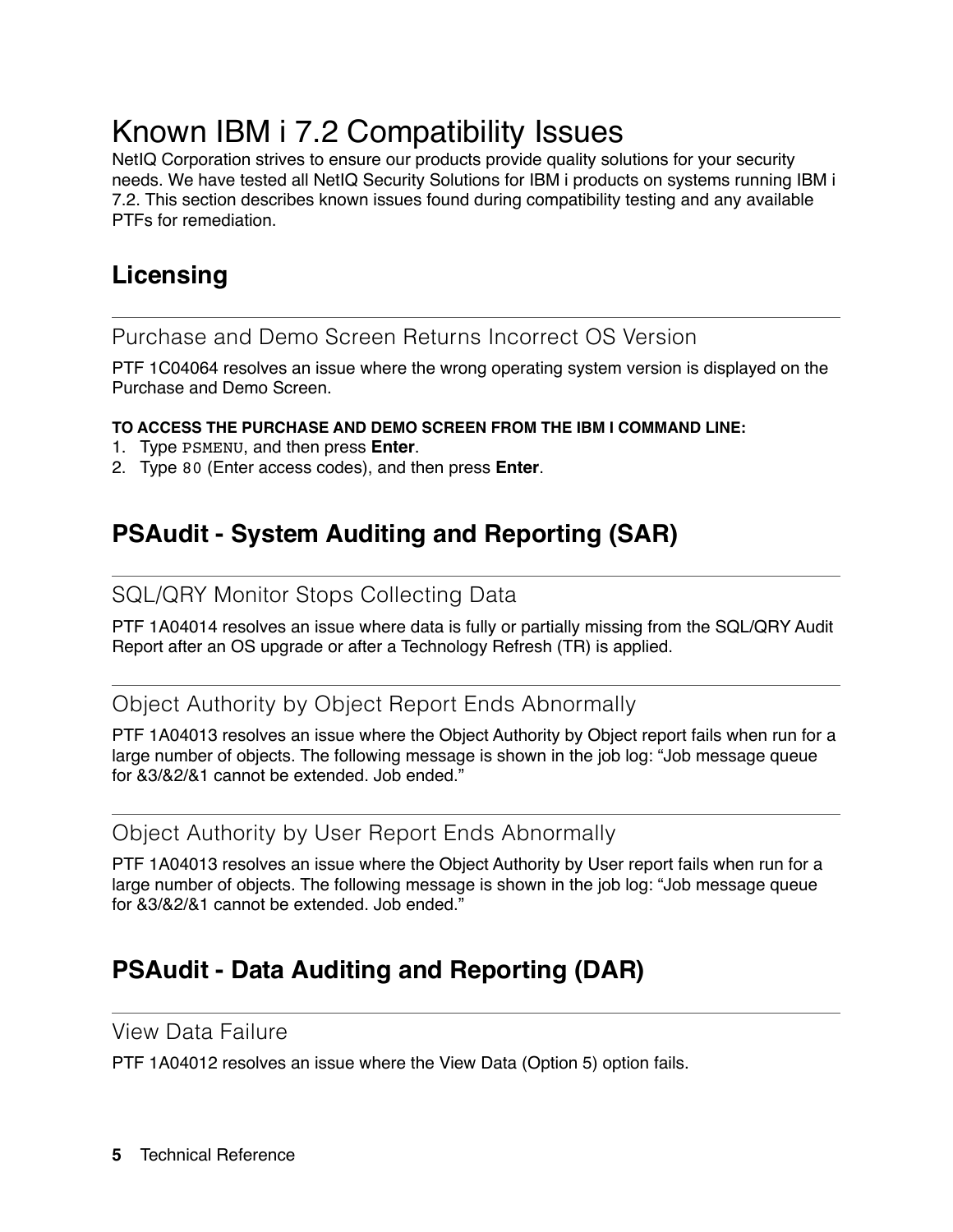# Known IBM i 7.2 Compatibility Issues

NetIQ Corporation strives to ensure our products provide quality solutions for your security needs. We have tested all NetIQ Security Solutions for IBM i products on systems running IBM i 7.2. This section describes known issues found during compatibility testing and any available PTFs for remediation.

# **Licensing**

Purchase and Demo Screen Returns Incorrect OS Version

PTF 1C04064 resolves an issue where the wrong operating system version is displayed on the Purchase and Demo Screen.

#### **TO ACCESS THE PURCHASE AND DEMO SCREEN FROM THE IBM I COMMAND LINE:**

- 1. Type PSMENU, and then press **Enter**.
- 2. Type 80 (Enter access codes), and then press **Enter**.

# **PSAudit - System Auditing and Reporting (SAR)**

### SQL/QRY Monitor Stops Collecting Data

PTF 1A04014 resolves an issue where data is fully or partially missing from the SQL/QRY Audit Report after an OS upgrade or after a Technology Refresh (TR) is applied.

### Object Authority by Object Report Ends Abnormally

PTF 1A04013 resolves an issue where the Object Authority by Object report fails when run for a large number of objects. The following message is shown in the job log: "Job message queue for &3/&2/&1 cannot be extended. Job ended."

#### Object Authority by User Report Ends Abnormally

PTF 1A04013 resolves an issue where the Object Authority by User report fails when run for a large number of objects. The following message is shown in the job log: "Job message queue for &3/&2/&1 cannot be extended. Job ended."

# **PSAudit - Data Auditing and Reporting (DAR)**

#### View Data Failure

PTF 1A04012 resolves an issue where the View Data (Option 5) option fails.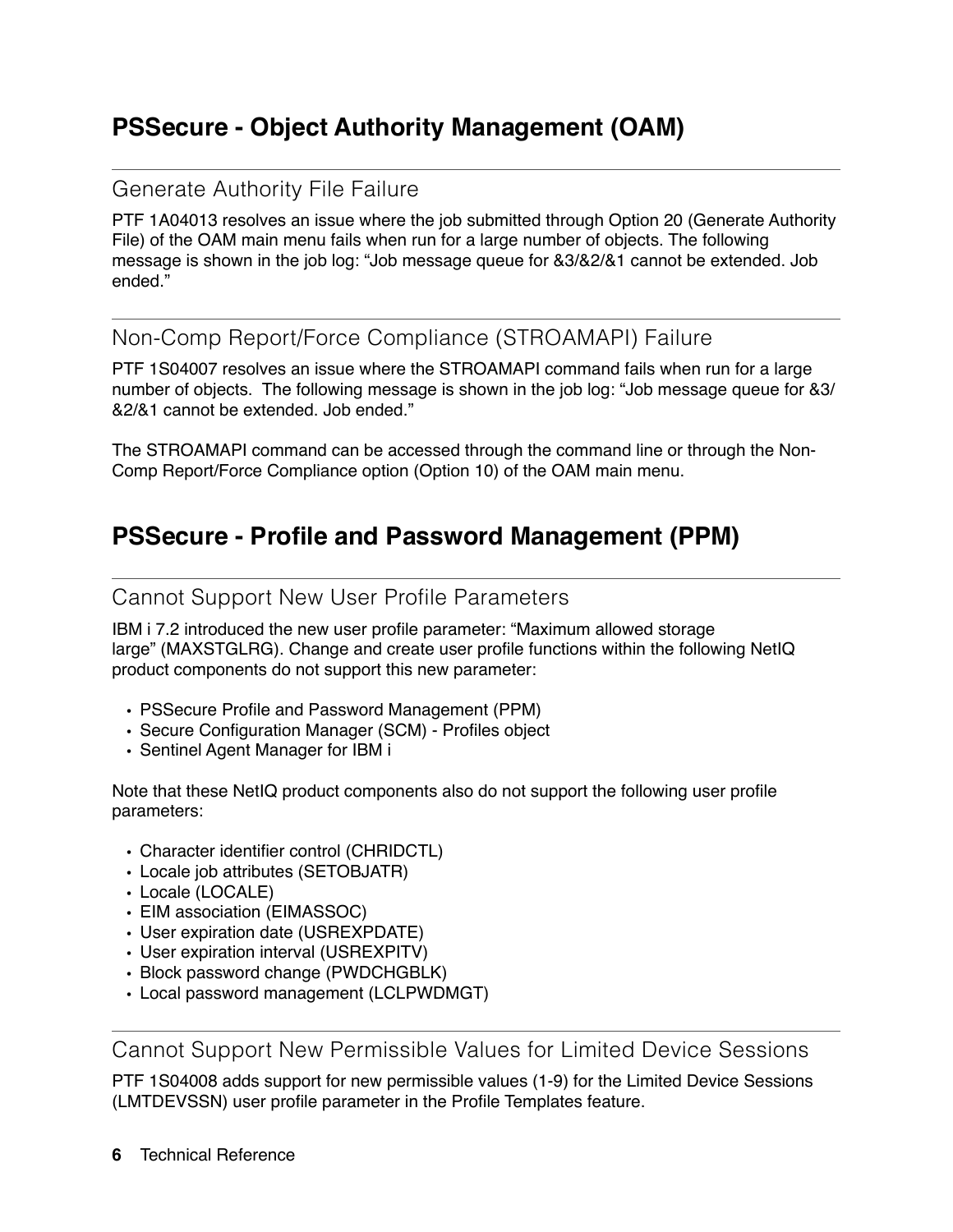# **PSSecure - Object Authority Management (OAM)**

### Generate Authority File Failure

PTF 1A04013 resolves an issue where the job submitted through Option 20 (Generate Authority File) of the OAM main menu fails when run for a large number of objects. The following message is shown in the job log: "Job message queue for &3/&2/&1 cannot be extended. Job ended."

### Non-Comp Report/Force Compliance (STROAMAPI) Failure

PTF 1S04007 resolves an issue where the STROAMAPI command fails when run for a large number of objects. The following message is shown in the job log: "Job message queue for &3/ &2/&1 cannot be extended. Job ended."

The STROAMAPI command can be accessed through the command line or through the Non-Comp Report/Force Compliance option (Option 10) of the OAM main menu.

# **PSSecure - Profile and Password Management (PPM)**

### Cannot Support New User Profile Parameters

IBM i 7.2 introduced the new user profile parameter: "Maximum allowed storage large" (MAXSTGLRG). Change and create user profile functions within the following NetIQ product components do not support this new parameter:

- PSSecure Profile and Password Management (PPM)
- Secure Configuration Manager (SCM) Profiles object
- Sentinel Agent Manager for IBM i

Note that these NetIQ product components also do not support the following user profile parameters:

- Character identifier control (CHRIDCTL)
- Locale job attributes (SETOBJATR)
- Locale (LOCALE)
- EIM association (EIMASSOC)
- User expiration date (USREXPDATE)
- User expiration interval (USREXPITV)
- Block password change (PWDCHGBLK)
- Local password management (LCLPWDMGT)

Cannot Support New Permissible Values for Limited Device Sessions

PTF 1S04008 adds support for new permissible values (1-9) for the Limited Device Sessions (LMTDEVSSN) user profile parameter in the Profile Templates feature.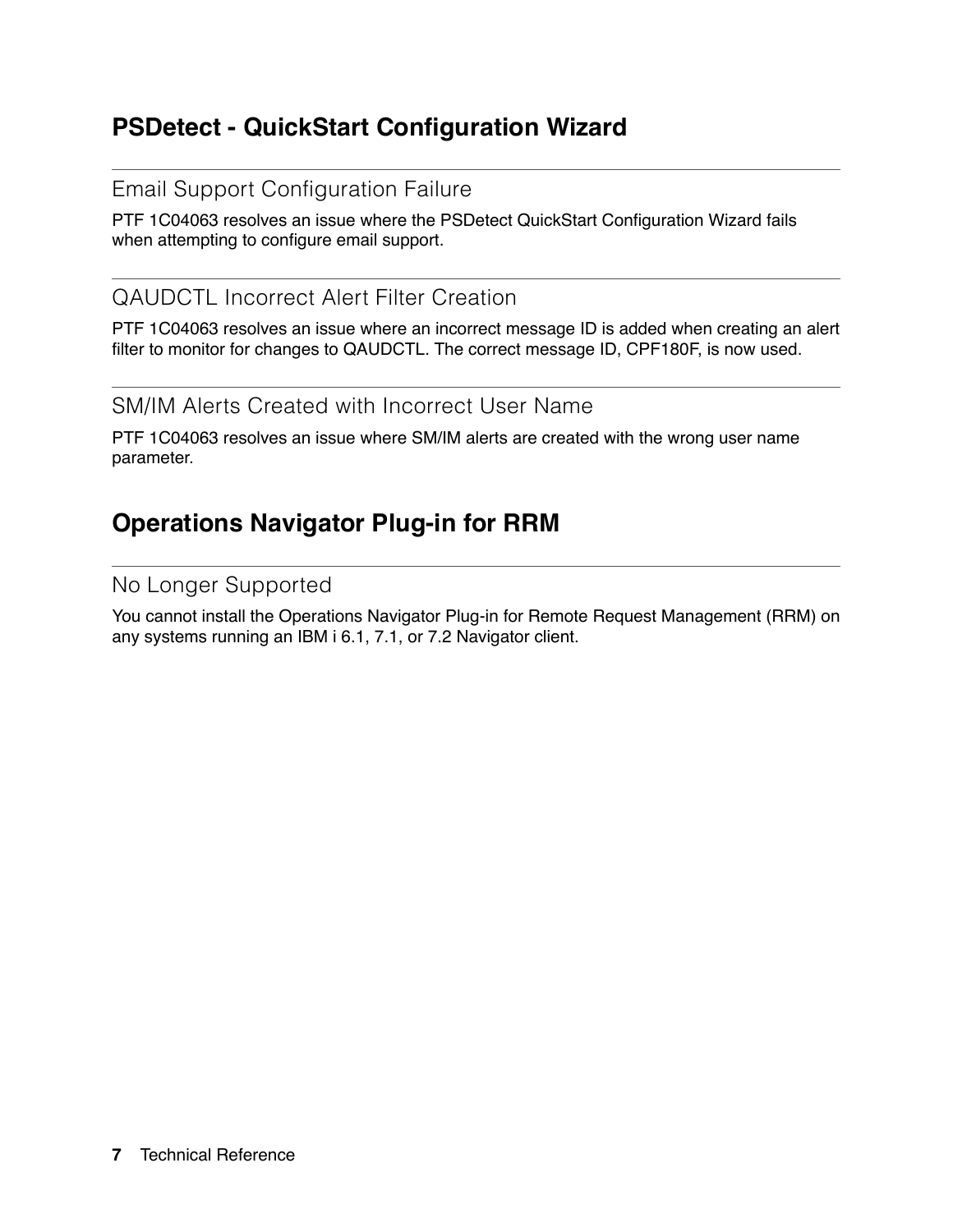# **PSDetect - QuickStart Configuration Wizard**

#### Email Support Configuration Failure

PTF 1C04063 resolves an issue where the PSDetect QuickStart Configuration Wizard fails when attempting to configure email support.

## QAUDCTL Incorrect Alert Filter Creation

PTF 1C04063 resolves an issue where an incorrect message ID is added when creating an alert filter to monitor for changes to QAUDCTL. The correct message ID, CPF180F, is now used.

SM/IM Alerts Created with Incorrect User Name

PTF 1C04063 resolves an issue where SM/IM alerts are created with the wrong user name parameter.

# **Operations Navigator Plug-in for RRM**

#### No Longer Supported

You cannot install the Operations Navigator Plug-in for Remote Request Management (RRM) on any systems running an IBM i 6.1, 7.1, or 7.2 Navigator client.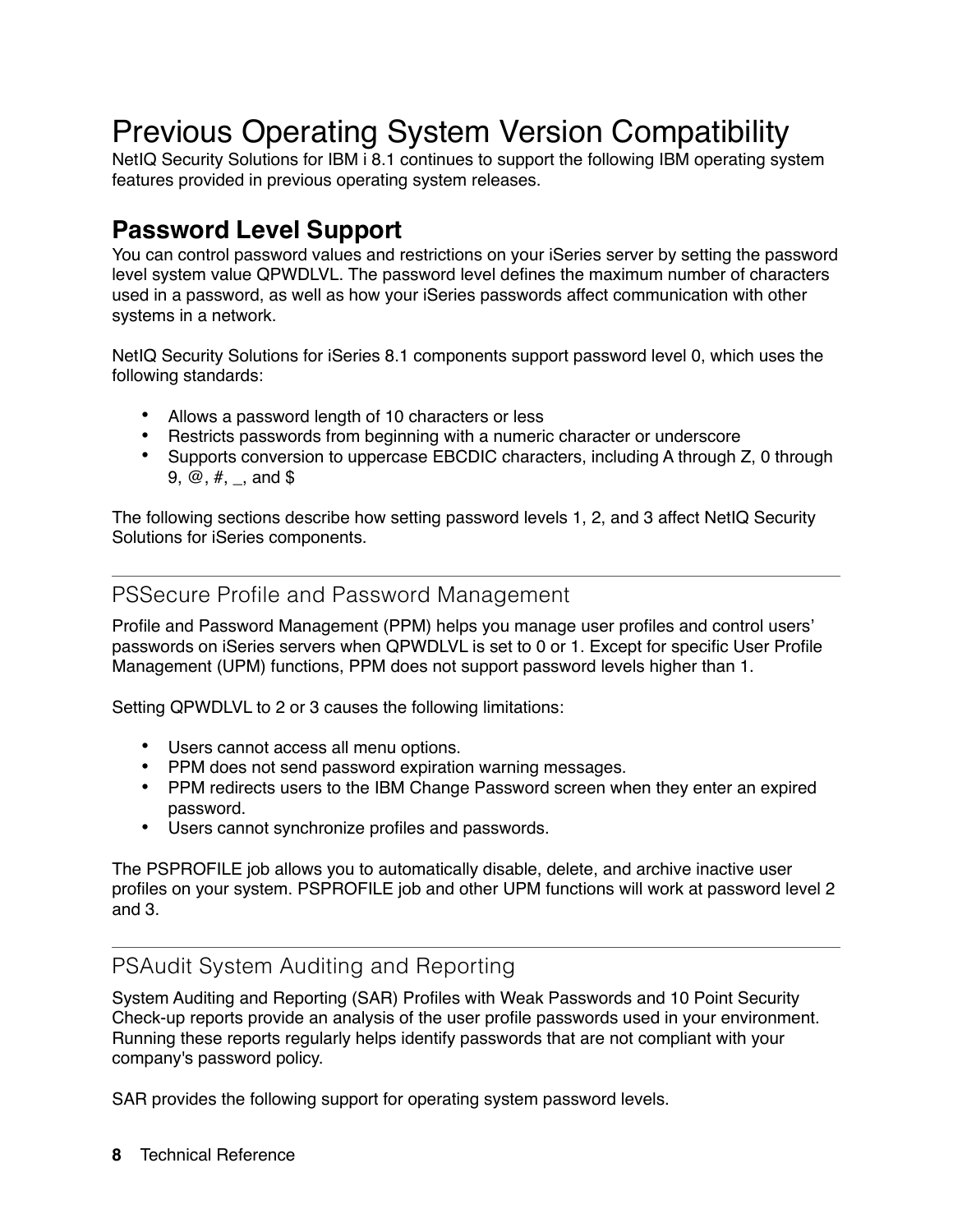# Previous Operating System Version Compatibility

NetIQ Security Solutions for IBM i 8.1 continues to support the following IBM operating system features provided in previous operating system releases.

# **Password Level Support**

You can control password values and restrictions on your iSeries server by setting the password level system value QPWDLVL. The password level defines the maximum number of characters used in a password, as well as how your iSeries passwords affect communication with other systems in a network.

NetIQ Security Solutions for iSeries 8.1 components support password level 0, which uses the following standards:

- **•** Allows a password length of 10 characters or less
- **•** Restricts passwords from beginning with a numeric character or underscore
- Supports conversion to uppercase EBCDIC characters, including A through Z, 0 through 9,  $\omega$ ,  $\#$ ,  $\Box$ , and \$

The following sections describe how setting password levels 1, 2, and 3 affect NetIQ Security Solutions for iSeries components.

#### PSSecure Profile and Password Management

Profile and Password Management (PPM) helps you manage user profiles and control users' passwords on iSeries servers when QPWDLVL is set to 0 or 1. Except for specific User Profile Management (UPM) functions, PPM does not support password levels higher than 1.

Setting QPWDLVL to 2 or 3 causes the following limitations:

- **•** Users cannot access all menu options.
- **•** PPM does not send password expiration warning messages.
- **•** PPM redirects users to the IBM Change Password screen when they enter an expired password.
- **•** Users cannot synchronize profiles and passwords.

The PSPROFILE job allows you to automatically disable, delete, and archive inactive user profiles on your system. PSPROFILE job and other UPM functions will work at password level 2 and 3.

### PSAudit System Auditing and Reporting

System Auditing and Reporting (SAR) Profiles with Weak Passwords and 10 Point Security Check-up reports provide an analysis of the user profile passwords used in your environment. Running these reports regularly helps identify passwords that are not compliant with your company's password policy.

SAR provides the following support for operating system password levels.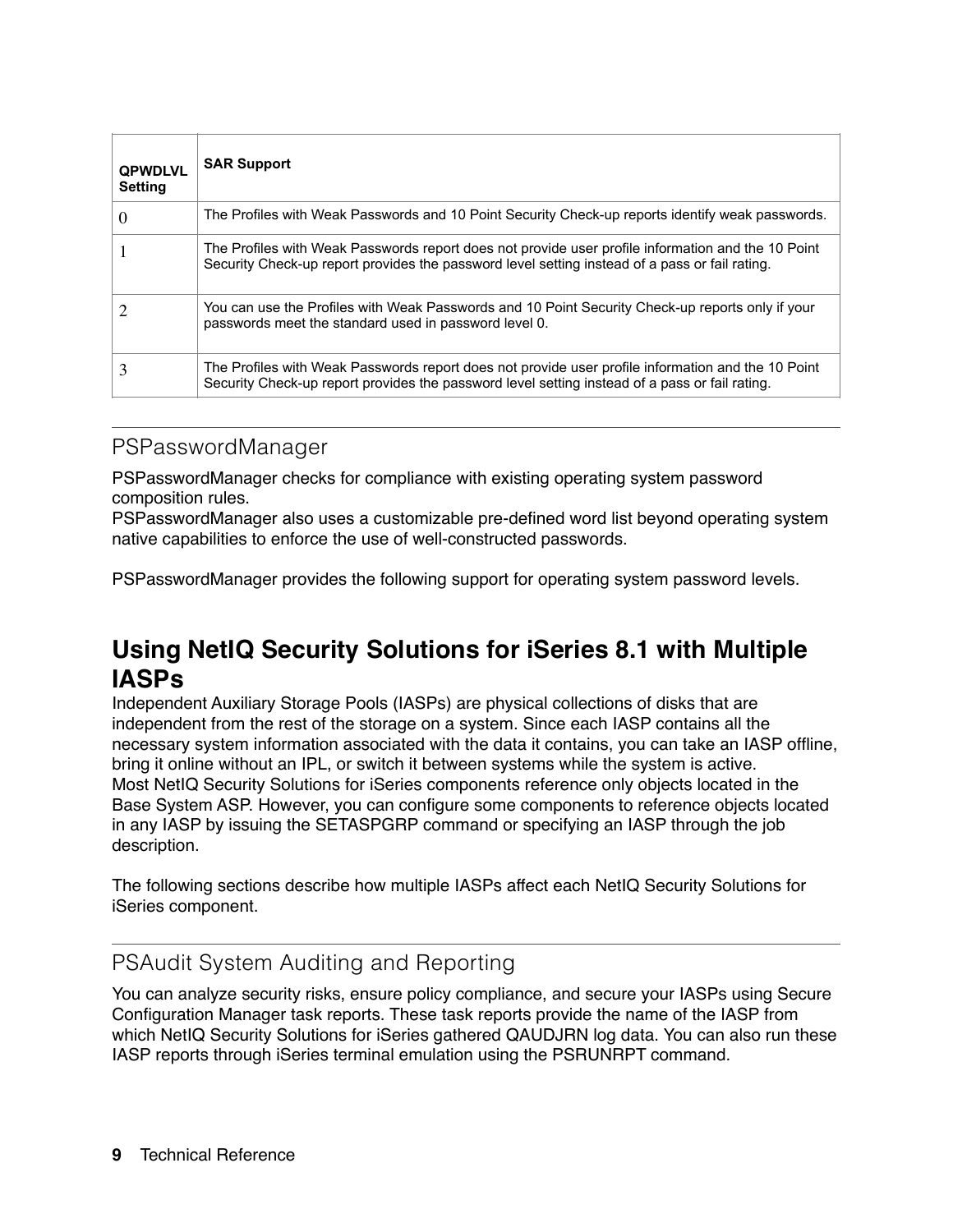| <b>QPWDLVL</b><br><b>Setting</b> | <b>SAR Support</b>                                                                                                                                                                                   |
|----------------------------------|------------------------------------------------------------------------------------------------------------------------------------------------------------------------------------------------------|
| $\theta$                         | The Profiles with Weak Passwords and 10 Point Security Check-up reports identify weak passwords.                                                                                                     |
|                                  | The Profiles with Weak Passwords report does not provide user profile information and the 10 Point<br>Security Check-up report provides the password level setting instead of a pass or fail rating. |
|                                  | You can use the Profiles with Weak Passwords and 10 Point Security Check-up reports only if your<br>passwords meet the standard used in password level 0.                                            |
| 3                                | The Profiles with Weak Passwords report does not provide user profile information and the 10 Point<br>Security Check-up report provides the password level setting instead of a pass or fail rating. |

#### PSPasswordManager

PSPasswordManager checks for compliance with existing operating system password composition rules.

PSPasswordManager also uses a customizable pre-defined word list beyond operating system native capabilities to enforce the use of well-constructed passwords.

PSPasswordManager provides the following support for operating system password levels.

# **Using NetIQ Security Solutions for iSeries 8.1 with Multiple IASPs**

Independent Auxiliary Storage Pools (IASPs) are physical collections of disks that are independent from the rest of the storage on a system. Since each IASP contains all the necessary system information associated with the data it contains, you can take an IASP offline, bring it online without an IPL, or switch it between systems while the system is active. Most NetIQ Security Solutions for iSeries components reference only objects located in the Base System ASP. However, you can configure some components to reference objects located in any IASP by issuing the SETASPGRP command or specifying an IASP through the job description.

The following sections describe how multiple IASPs affect each NetIQ Security Solutions for iSeries component.

#### PSAudit System Auditing and Reporting

You can analyze security risks, ensure policy compliance, and secure your IASPs using Secure Configuration Manager task reports. These task reports provide the name of the IASP from which NetIQ Security Solutions for iSeries gathered QAUDJRN log data. You can also run these IASP reports through iSeries terminal emulation using the PSRUNRPT command.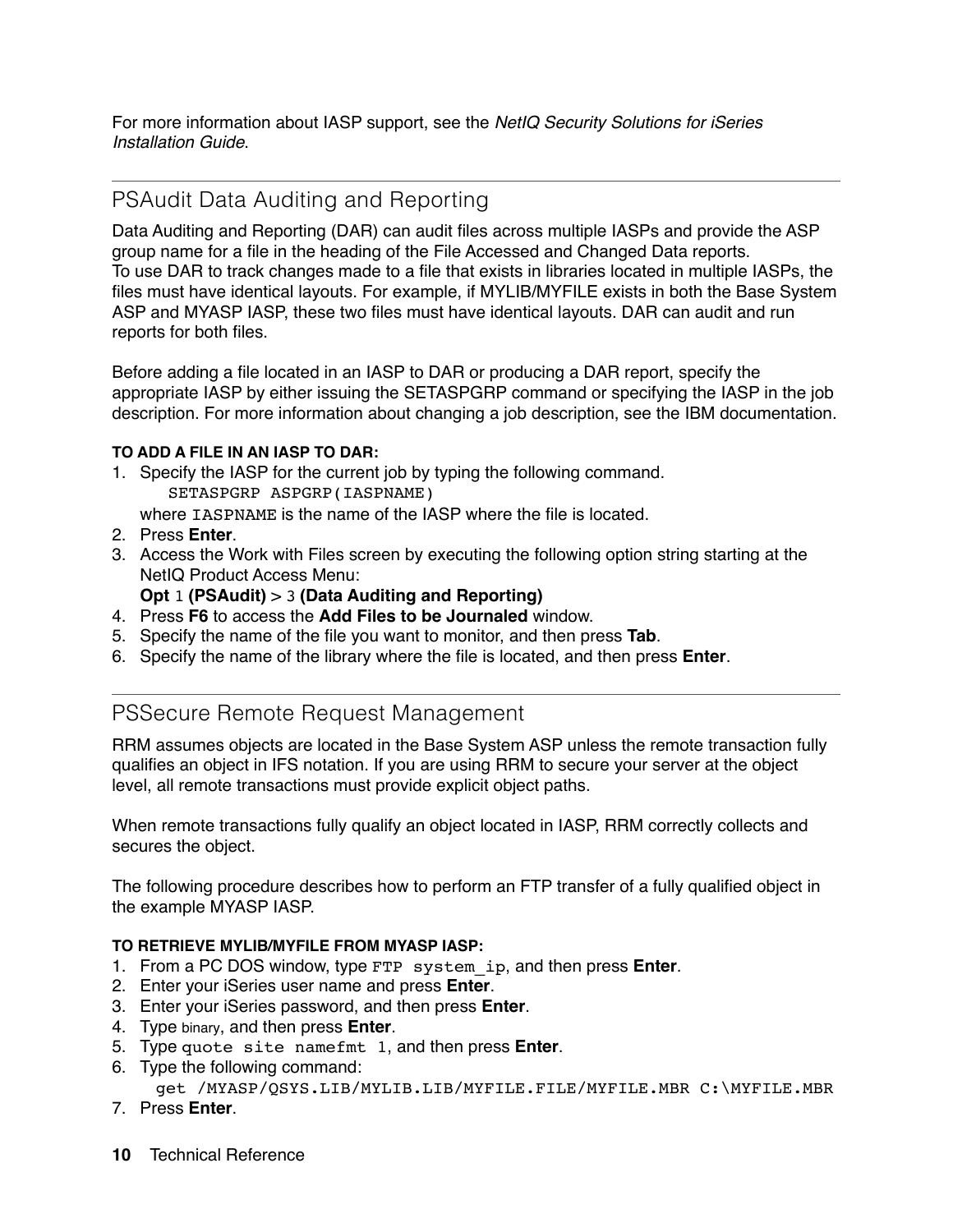For more information about IASP support, see the *NetIQ Security Solutions for iSeries Installation Guide*.

### PSAudit Data Auditing and Reporting

Data Auditing and Reporting (DAR) can audit files across multiple IASPs and provide the ASP group name for a file in the heading of the File Accessed and Changed Data reports. To use DAR to track changes made to a file that exists in libraries located in multiple IASPs, the files must have identical layouts. For example, if MYLIB/MYFILE exists in both the Base System ASP and MYASP IASP, these two files must have identical layouts. DAR can audit and run reports for both files.

Before adding a file located in an IASP to DAR or producing a DAR report, specify the appropriate IASP by either issuing the SETASPGRP command or specifying the IASP in the job description. For more information about changing a job description, see the IBM documentation.

#### **TO ADD A FILE IN AN IASP TO DAR:**

- 1. Specify the IASP for the current job by typing the following command. SETASPGRP ASPGRP(IASPNAME)
	- where IASPNAME is the name of the IASP where the file is located.
- 2. Press **Enter**.
- 3. Access the Work with Files screen by executing the following option string starting at the NetIQ Product Access Menu:
	- **Opt** 1 **(PSAudit)** > 3 **(Data Auditing and Reporting)**
- 4. Press **F6** to access the **Add Files to be Journaled** window.
- 5. Specify the name of the file you want to monitor, and then press **Tab**.
- 6. Specify the name of the library where the file is located, and then press **Enter**.

#### PSSecure Remote Request Management

RRM assumes objects are located in the Base System ASP unless the remote transaction fully qualifies an object in IFS notation. If you are using RRM to secure your server at the object level, all remote transactions must provide explicit object paths.

When remote transactions fully qualify an object located in IASP, RRM correctly collects and secures the object.

The following procedure describes how to perform an FTP transfer of a fully qualified object in the example MYASP IASP.

#### **TO RETRIEVE MYLIB/MYFILE FROM MYASP IASP:**

- 1. From a PC DOS window, type FTP system\_ip, and then press **Enter**.
- 2. Enter your iSeries user name and press **Enter**.
- 3. Enter your iSeries password, and then press **Enter**.
- 4. Type binary, and then press **Enter**.
- 5. Type quote site namefmt 1, and then press **Enter**.
- 6. Type the following command:

```
 get /MYASP/QSYS.LIB/MYLIB.LIB/MYFILE.FILE/MYFILE.MBR C:\MYFILE.MBR
```
- 7. Press **Enter**.
- **10** Technical Reference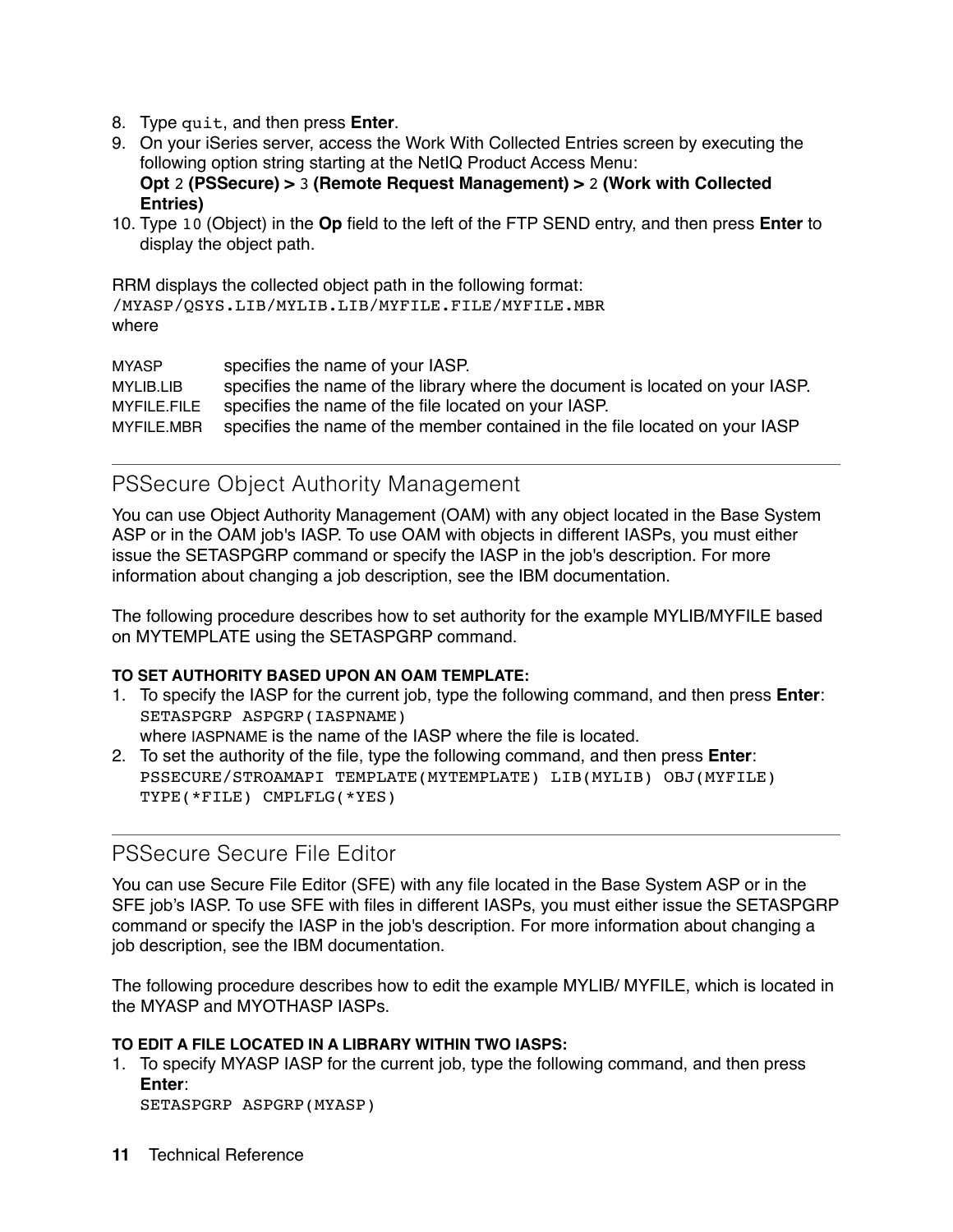- 8. Type quit, and then press **Enter**.
- 9. On your iSeries server, access the Work With Collected Entries screen by executing the following option string starting at the NetIQ Product Access Menu: **Opt** 2 **(PSSecure) >** 3 **(Remote Request Management) >** 2 **(Work with Collected Entries)**
- 10. Type 10 (Object) in the **Op** field to the left of the FTP SEND entry, and then press **Enter** to display the object path.

RRM displays the collected object path in the following format: /MYASP/QSYS.LIB/MYLIB.LIB/MYFILE.FILE/MYFILE.MBR where

MYASP specifies the name of your IASP. MYLIB.LIB specifies the name of the library where the document is located on your IASP. MYFILE.FILE specifies the name of the file located on your IASP. MYFILE.MBR specifies the name of the member contained in the file located on your IASP

#### PSSecure Object Authority Management

You can use Object Authority Management (OAM) with any object located in the Base System ASP or in the OAM job's IASP. To use OAM with objects in different IASPs, you must either issue the SETASPGRP command or specify the IASP in the job's description. For more information about changing a job description, see the IBM documentation.

The following procedure describes how to set authority for the example MYLIB/MYFILE based on MYTEMPLATE using the SETASPGRP command.

#### **TO SET AUTHORITY BASED UPON AN OAM TEMPLATE:**

- 1. To specify the IASP for the current job, type the following command, and then press **Enter**: SETASPGRP ASPGRP(IASPNAME) where IASPNAME is the name of the IASP where the file is located.
- 2. To set the authority of the file, type the following command, and then press **Enter**: PSSECURE/STROAMAPI TEMPLATE(MYTEMPLATE) LIB(MYLIB) OBJ(MYFILE) TYPE(\*FILE) CMPLFLG(\*YES)

#### PSSecure Secure File Editor

You can use Secure File Editor (SFE) with any file located in the Base System ASP or in the SFE job's IASP. To use SFE with files in different IASPs, you must either issue the SETASPGRP command or specify the IASP in the job's description. For more information about changing a job description, see the IBM documentation.

The following procedure describes how to edit the example MYLIB/ MYFILE, which is located in the MYASP and MYOTHASP IASPs.

#### **TO EDIT A FILE LOCATED IN A LIBRARY WITHIN TWO IASPS:**

1. To specify MYASP IASP for the current job, type the following command, and then press **Enter**:

```
SETASPGRP ASPGRP(MYASP)
```
**11** Technical Reference